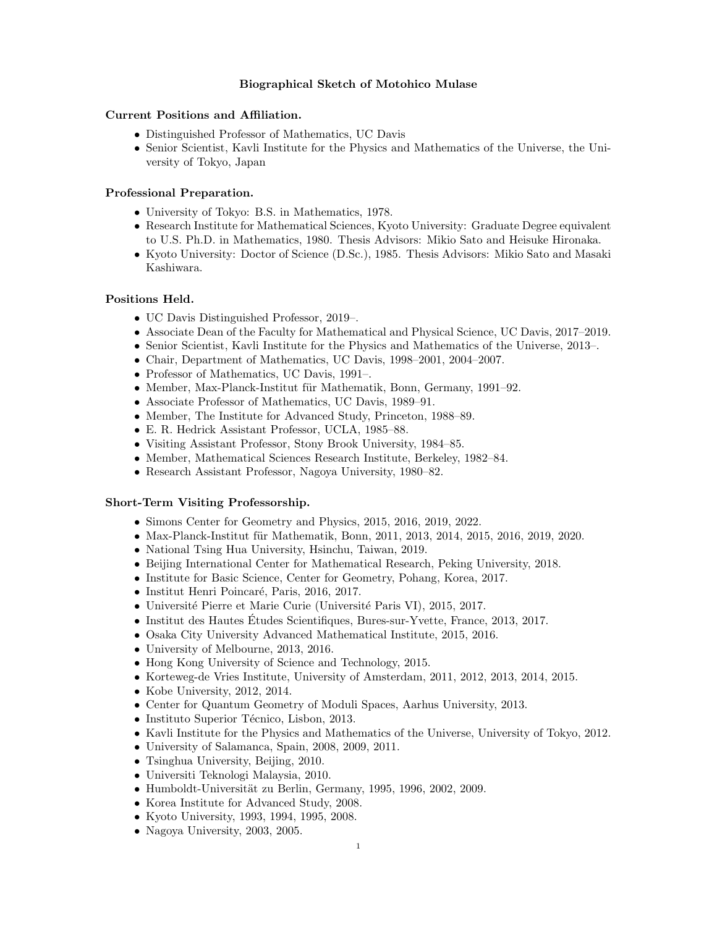# Biographical Sketch of Motohico Mulase

# Current Positions and Affiliation.

- Distinguished Professor of Mathematics, UC Davis
- Senior Scientist, Kavli Institute for the Physics and Mathematics of the Universe, the University of Tokyo, Japan

# Professional Preparation.

- University of Tokyo: B.S. in Mathematics, 1978.
- Research Institute for Mathematical Sciences, Kyoto University: Graduate Degree equivalent to U.S. Ph.D. in Mathematics, 1980. Thesis Advisors: Mikio Sato and Heisuke Hironaka.
- Kyoto University: Doctor of Science (D.Sc.), 1985. Thesis Advisors: Mikio Sato and Masaki Kashiwara.

#### Positions Held.

- UC Davis Distinguished Professor, 2019–.
- Associate Dean of the Faculty for Mathematical and Physical Science, UC Davis, 2017–2019.
- Senior Scientist, Kavli Institute for the Physics and Mathematics of the Universe, 2013–.
- Chair, Department of Mathematics, UC Davis, 1998–2001, 2004–2007.
- Professor of Mathematics, UC Davis, 1991–.
- Member, Max-Planck-Institut für Mathematik, Bonn, Germany, 1991–92.
- Associate Professor of Mathematics, UC Davis, 1989–91.
- Member, The Institute for Advanced Study, Princeton, 1988–89.
- E. R. Hedrick Assistant Professor, UCLA, 1985–88.
- Visiting Assistant Professor, Stony Brook University, 1984–85.
- Member, Mathematical Sciences Research Institute, Berkeley, 1982–84.
- Research Assistant Professor, Nagoya University, 1980–82.

### Short-Term Visiting Professorship.

- Simons Center for Geometry and Physics, 2015, 2016, 2019, 2022.
- Max-Planck-Institut für Mathematik, Bonn, 2011, 2013, 2014, 2015, 2016, 2019, 2020.
- National Tsing Hua University, Hsinchu, Taiwan, 2019.
- Beijing International Center for Mathematical Research, Peking University, 2018.
- Institute for Basic Science, Center for Geometry, Pohang, Korea, 2017.
- Institut Henri Poincaré, Paris, 2016, 2017.
- Université Pierre et Marie Curie (Université Paris VI), 2015, 2017.
- Institut des Hautes Études Scientifiques, Bures-sur-Yvette, France, 2013, 2017.
- Osaka City University Advanced Mathematical Institute, 2015, 2016.
- University of Melbourne, 2013, 2016.
- Hong Kong University of Science and Technology, 2015.
- Korteweg-de Vries Institute, University of Amsterdam, 2011, 2012, 2013, 2014, 2015.
- Kobe University, 2012, 2014.
- Center for Quantum Geometry of Moduli Spaces, Aarhus University, 2013.
- Instituto Superior Técnico, Lisbon, 2013.
- Kavli Institute for the Physics and Mathematics of the Universe, University of Tokyo, 2012.
- University of Salamanca, Spain, 2008, 2009, 2011.
- Tsinghua University, Beijing, 2010.
- Universiti Teknologi Malaysia, 2010.
- $\bullet$  Humboldt-Universität zu Berlin, Germany, 1995, 1996, 2002, 2009.
- Korea Institute for Advanced Study, 2008.
- Kyoto University, 1993, 1994, 1995, 2008.
- Nagoya University, 2003, 2005.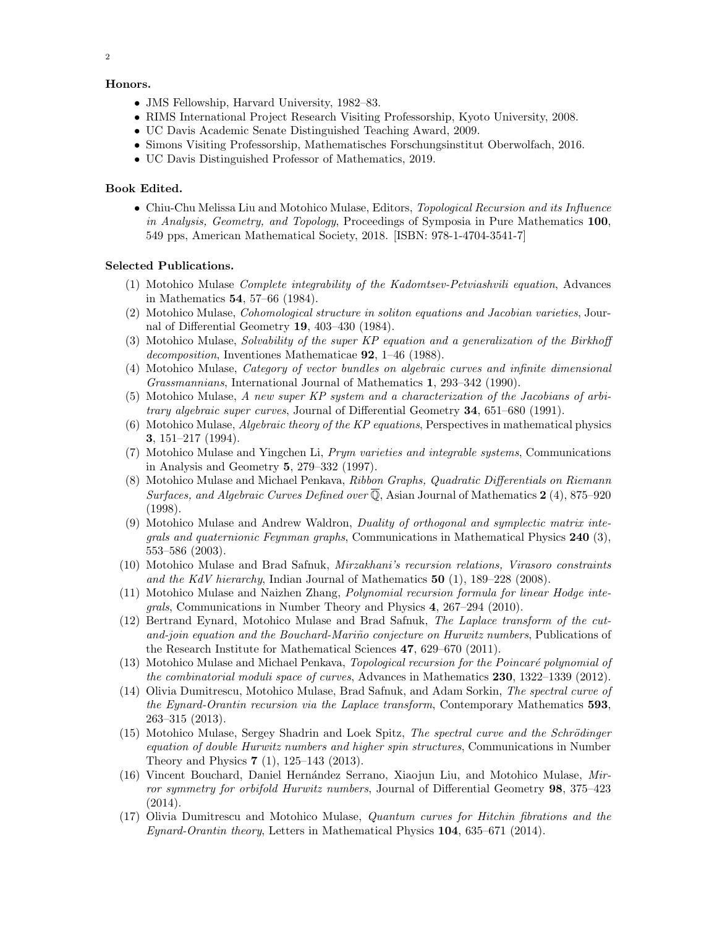# Honors.

- JMS Fellowship, Harvard University, 1982–83.
- RIMS International Project Research Visiting Professorship, Kyoto University, 2008.
- UC Davis Academic Senate Distinguished Teaching Award, 2009.
- Simons Visiting Professorship, Mathematisches Forschungsinstitut Oberwolfach, 2016.
- UC Davis Distinguished Professor of Mathematics, 2019.

# Book Edited.

• Chiu-Chu Melissa Liu and Motohico Mulase, Editors, Topological Recursion and its Influence in Analysis, Geometry, and Topology, Proceedings of Symposia in Pure Mathematics 100, 549 pps, American Mathematical Society, 2018. [ISBN: 978-1-4704-3541-7]

# Selected Publications.

- (1) Motohico Mulase Complete integrability of the Kadomtsev-Petviashvili equation, Advances in Mathematics 54, 57–66 (1984).
- (2) Motohico Mulase, Cohomological structure in soliton equations and Jacobian varieties, Journal of Differential Geometry 19, 403–430 (1984).
- (3) Motohico Mulase, Solvability of the super KP equation and a generalization of the Birkhoff decomposition, Inventiones Mathematicae 92, 1–46 (1988).
- (4) Motohico Mulase, Category of vector bundles on algebraic curves and infinite dimensional Grassmannians, International Journal of Mathematics 1, 293–342 (1990).
- (5) Motohico Mulase, A new super KP system and a characterization of the Jacobians of arbitrary algebraic super curves, Journal of Differential Geometry 34, 651–680 (1991).
- (6) Motohico Mulase, *Algebraic theory of the KP equations*, Perspectives in mathematical physics 3, 151–217 (1994).
- (7) Motohico Mulase and Yingchen Li, Prym varieties and integrable systems, Communications in Analysis and Geometry 5, 279–332 (1997).
- (8) Motohico Mulase and Michael Penkava, Ribbon Graphs, Quadratic Differentials on Riemann Surfaces, and Algebraic Curves Defined over  $\overline{Q}$ , Asian Journal of Mathematics 2(4), 875–920 (1998).
- (9) Motohico Mulase and Andrew Waldron, Duality of orthogonal and symplectic matrix inte*grals and quaternionic Feynman graphs,* Communications in Mathematical Physics  $240$  (3), 553–586 (2003).
- (10) Motohico Mulase and Brad Safnuk, Mirzakhani's recursion relations, Virasoro constraints and the KdV hierarchy, Indian Journal of Mathematics  $50$  (1), 189–228 (2008).
- (11) Motohico Mulase and Naizhen Zhang, Polynomial recursion formula for linear Hodge integrals, Communications in Number Theory and Physics 4, 267–294 (2010).
- (12) Bertrand Eynard, Motohico Mulase and Brad Safnuk, The Laplace transform of the cutand-join equation and the Bouchard-Mariño conjecture on Hurwitz numbers, Publications of the Research Institute for Mathematical Sciences 47, 629–670 (2011).
- (13) Motohico Mulase and Michael Penkava, Topological recursion for the Poincaré polynomial of the combinatorial moduli space of curves, Advances in Mathematics 230, 1322–1339 (2012).
- (14) Olivia Dumitrescu, Motohico Mulase, Brad Safnuk, and Adam Sorkin, The spectral curve of the Eynard-Orantin recursion via the Laplace transform, Contemporary Mathematics 593, 263–315 (2013).
- (15) Motohico Mulase, Sergey Shadrin and Loek Spitz, The spectral curve and the Schrödinger equation of double Hurwitz numbers and higher spin structures, Communications in Number Theory and Physics 7 (1), 125–143 (2013).
- $(16)$  Vincent Bouchard, Daniel Hernández Serrano, Xiaojun Liu, and Motohico Mulase, Mirror symmetry for orbifold Hurwitz numbers, Journal of Differential Geometry 98, 375–423 (2014).
- (17) Olivia Dumitrescu and Motohico Mulase, Quantum curves for Hitchin fibrations and the Eynard-Orantin theory, Letters in Mathematical Physics 104, 635–671 (2014).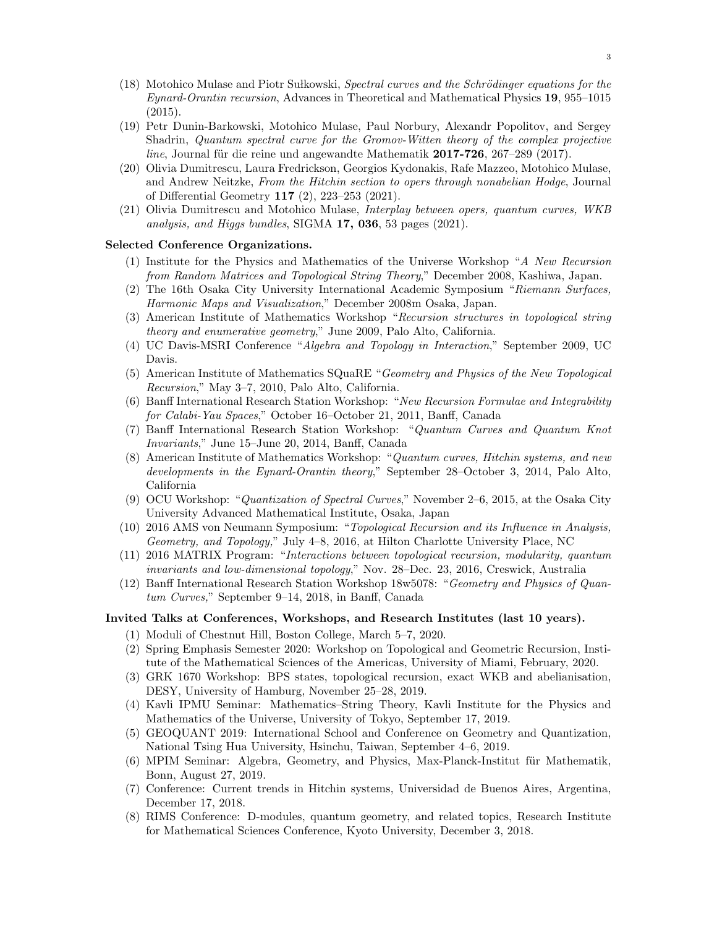- (18) Motohico Mulase and Piotr Sulkowski, Spectral curves and the Schrödinger equations for the Eynard-Orantin recursion, Advances in Theoretical and Mathematical Physics 19, 955–1015 (2015).
- (19) Petr Dunin-Barkowski, Motohico Mulase, Paul Norbury, Alexandr Popolitov, and Sergey Shadrin, Quantum spectral curve for the Gromov-Witten theory of the complex projective  $line$ , Journal für die reine und angewandte Mathematik 2017-726, 267–289 (2017).
- (20) Olivia Dumitrescu, Laura Fredrickson, Georgios Kydonakis, Rafe Mazzeo, Motohico Mulase, and Andrew Neitzke, From the Hitchin section to opers through nonabelian Hodge, Journal of Differential Geometry 117 (2), 223–253 (2021).
- (21) Olivia Dumitrescu and Motohico Mulase, Interplay between opers, quantum curves, WKB analysis, and Higgs bundles, SIGMA 17, 036, 53 pages (2021).

# Selected Conference Organizations.

- (1) Institute for the Physics and Mathematics of the Universe Workshop "A New Recursion from Random Matrices and Topological String Theory," December 2008, Kashiwa, Japan.
- (2) The 16th Osaka City University International Academic Symposium "Riemann Surfaces, Harmonic Maps and Visualization," December 2008m Osaka, Japan.
- (3) American Institute of Mathematics Workshop "Recursion structures in topological string theory and enumerative geometry," June 2009, Palo Alto, California.
- (4) UC Davis-MSRI Conference "Algebra and Topology in Interaction," September 2009, UC Davis.
- (5) American Institute of Mathematics SQuaRE "Geometry and Physics of the New Topological Recursion," May 3–7, 2010, Palo Alto, California.
- (6) Banff International Research Station Workshop: "New Recursion Formulae and Integrability for Calabi-Yau Spaces," October 16–October 21, 2011, Banff, Canada
- (7) Banff International Research Station Workshop: "Quantum Curves and Quantum Knot Invariants," June 15–June 20, 2014, Banff, Canada
- (8) American Institute of Mathematics Workshop: "Quantum curves, Hitchin systems, and new developments in the Eynard-Orantin theory," September 28–October 3, 2014, Palo Alto, California
- (9) OCU Workshop: "Quantization of Spectral Curves," November 2–6, 2015, at the Osaka City University Advanced Mathematical Institute, Osaka, Japan
- (10) 2016 AMS von Neumann Symposium: "Topological Recursion and its Influence in Analysis, Geometry, and Topology," July 4–8, 2016, at Hilton Charlotte University Place, NC
- (11) 2016 MATRIX Program: "Interactions between topological recursion, modularity, quantum invariants and low-dimensional topology," Nov. 28–Dec. 23, 2016, Creswick, Australia
- (12) Banff International Research Station Workshop 18w5078: "Geometry and Physics of Quantum Curves," September 9–14, 2018, in Banff, Canada

### Invited Talks at Conferences, Workshops, and Research Institutes (last 10 years).

- (1) Moduli of Chestnut Hill, Boston College, March 5–7, 2020.
- (2) Spring Emphasis Semester 2020: Workshop on Topological and Geometric Recursion, Institute of the Mathematical Sciences of the Americas, University of Miami, February, 2020.
- (3) GRK 1670 Workshop: BPS states, topological recursion, exact WKB and abelianisation, DESY, University of Hamburg, November 25–28, 2019.
- (4) Kavli IPMU Seminar: Mathematics–String Theory, Kavli Institute for the Physics and Mathematics of the Universe, University of Tokyo, September 17, 2019.
- (5) GEOQUANT 2019: International School and Conference on Geometry and Quantization, National Tsing Hua University, Hsinchu, Taiwan, September 4–6, 2019.
- (6) MPIM Seminar: Algebra, Geometry, and Physics, Max-Planck-Institut für Mathematik, Bonn, August 27, 2019.
- (7) Conference: Current trends in Hitchin systems, Universidad de Buenos Aires, Argentina, December 17, 2018.
- (8) RIMS Conference: D-modules, quantum geometry, and related topics, Research Institute for Mathematical Sciences Conference, Kyoto University, December 3, 2018.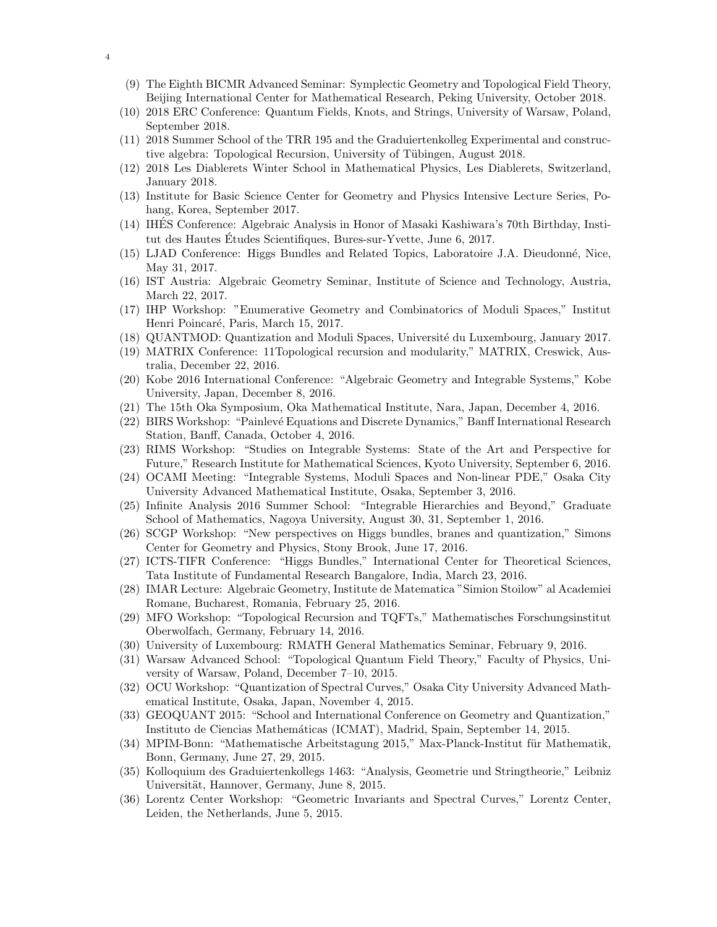- (9) The Eighth BICMR Advanced Seminar: Symplectic Geometry and Topological Field Theory, Beijing International Center for Mathematical Research, Peking University, October 2018.
- (10) 2018 ERC Conference: Quantum Fields, Knots, and Strings, University of Warsaw, Poland, September 2018.
- (11) 2018 Summer School of the TRR 195 and the Graduiertenkolleg Experimental and constructive algebra: Topological Recursion, University of Tübingen, August 2018.
- (12) 2018 Les Diablerets Winter School in Mathematical Physics, Les Diablerets, Switzerland, January 2018.
- (13) Institute for Basic Science Center for Geometry and Physics Intensive Lecture Series, Pohang, Korea, September 2017.
- (14) IHES Conference: Algebraic Analysis in Honor of Masaki Kashiwara's 70th Birthday, Insti- ´ tut des Hautes Études Scientifiques, Bures-sur-Yvette, June 6, 2017.
- (15) LJAD Conference: Higgs Bundles and Related Topics, Laboratoire J.A. Dieudonn´e, Nice, May 31, 2017.
- (16) IST Austria: Algebraic Geometry Seminar, Institute of Science and Technology, Austria, March 22, 2017.
- (17) IHP Workshop: "Enumerative Geometry and Combinatorics of Moduli Spaces," Institut Henri Poincaré, Paris, March 15, 2017.
- (18) QUANTMOD: Quantization and Moduli Spaces, Universit´e du Luxembourg, January 2017.
- (19) MATRIX Conference: 11Topological recursion and modularity," MATRIX, Creswick, Australia, December 22, 2016.
- (20) Kobe 2016 International Conference: "Algebraic Geometry and Integrable Systems," Kobe University, Japan, December 8, 2016.
- (21) The 15th Oka Symposium, Oka Mathematical Institute, Nara, Japan, December 4, 2016.
- (22) BIRS Workshop: "Painlev´e Equations and Discrete Dynamics," Banff International Research Station, Banff, Canada, October 4, 2016.
- (23) RIMS Workshop: "Studies on Integrable Systems: State of the Art and Perspective for Future," Research Institute for Mathematical Sciences, Kyoto University, September 6, 2016.
- (24) OCAMI Meeting: "Integrable Systems, Moduli Spaces and Non-linear PDE," Osaka City University Advanced Mathematical Institute, Osaka, September 3, 2016.
- (25) Infinite Analysis 2016 Summer School: "Integrable Hierarchies and Beyond," Graduate School of Mathematics, Nagoya University, August 30, 31, September 1, 2016.
- (26) SCGP Workshop: "New perspectives on Higgs bundles, branes and quantization," Simons Center for Geometry and Physics, Stony Brook, June 17, 2016.
- (27) ICTS-TIFR Conference: "Higgs Bundles," International Center for Theoretical Sciences, Tata Institute of Fundamental Research Bangalore, India, March 23, 2016.
- (28) IMAR Lecture: Algebraic Geometry, Institute de Matematica "Simion Stoilow" al Academiei Romane, Bucharest, Romania, February 25, 2016.
- (29) MFO Workshop: "Topological Recursion and TQFTs," Mathematisches Forschungsinstitut Oberwolfach, Germany, February 14, 2016.
- (30) University of Luxembourg: RMATH General Mathematics Seminar, February 9, 2016.
- (31) Warsaw Advanced School: "Topological Quantum Field Theory," Faculty of Physics, University of Warsaw, Poland, December 7–10, 2015.
- (32) OCU Workshop: "Quantization of Spectral Curves," Osaka City University Advanced Mathematical Institute, Osaka, Japan, November 4, 2015.
- (33) GEOQUANT 2015: "School and International Conference on Geometry and Quantization," Instituto de Ciencias Mathem´aticas (ICMAT), Madrid, Spain, September 14, 2015.
- (34) MPIM-Bonn: "Mathematische Arbeitstagung 2015," Max-Planck-Institut für Mathematik, Bonn, Germany, June 27, 29, 2015.
- (35) Kolloquium des Graduiertenkollegs 1463: "Analysis, Geometrie und Stringtheorie," Leibniz Universität, Hannover, Germany, June 8, 2015.
- (36) Lorentz Center Workshop: "Geometric Invariants and Spectral Curves," Lorentz Center, Leiden, the Netherlands, June 5, 2015.